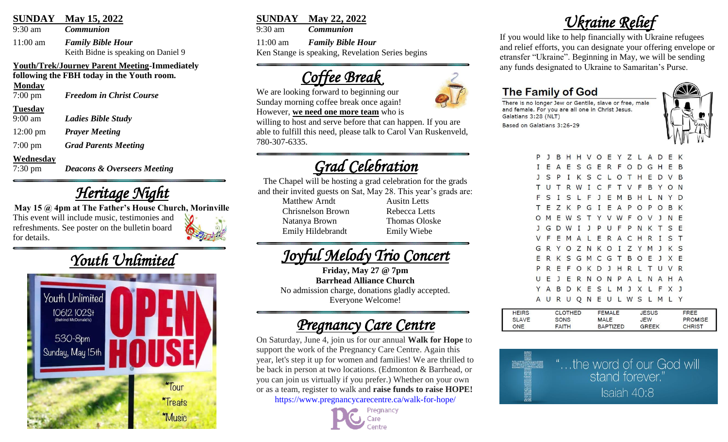### **SUNDAY May 15, 2022**

9:30 am *Communion*

11:00 am *Family Bible Hour* Keith Bidne is speaking on Daniel 9

#### **Youth/Trek/Journey Parent Meeting-Immediately following the FBH today in the Youth room.**

**Monday**

7:00 pm *Freedom in Christ Course*

#### **Tuesday**

9:00 am *Ladies Bible Study*

12:00 pm *Prayer Meeting*

7:00 pm *Grad Parents Meeting*

#### **Wednesday**

7:30 pm *Deacons & Overseers Meeting*

## *Heritage Night*

**May 15 @ 4pm at The Father's House Church, Morinville**

This event will include music, testimonies and refreshments. See poster on the bulletin board for details.



# *Youth Unlimited*



### **SUNDAY May 22, 2022**

9:30 am *Communion*

11:00 am *Family Bible Hour* Ken Stange is speaking, Revelation Series begins

## *Coffee Break*

We are looking forward to beginning our Sunday morning coffee break once again! However, **we need one more team** who is

willing to host and serve before that can happen. If you are able to fulfill this need, please talk to Carol Van Ruskenveld, 780-307-6335.

## *Grad Celebration*

The Chapel will be hosting a grad celebration for the grads and their invited guests on Sat, May 28. This year's grads are:

Matthew Arndt Ausitn Letts Chrisnelson Brown Rebecca Letts Natanya Brown Thomas Oloske Emily Hildebrandt Emily Wiebe

### *Joyful Melody Trio Concert*

**Friday, May 27 @ 7pm Barrhead Alliance Church** No admission charge, donations gladly accepted. Everyone Welcome!

## *Pregnancy Care Centre*

On Saturday, June 4, join us for our annual **Walk for Hope** to support the work of the Pregnancy Care Centre. Again this year, let's step it up for women and families! We are thrilled to be back in person at two locations. (Edmonton & Barrhead, or you can join us virtually if you prefer.) Whether on your own or as a team, register to walk and **raise funds to raise HOPE!** <https://www.pregnancycarecentre.ca/walk-for-hope/>



# *Ukraine Relief*

If you would like to help financially with Ukraine refugees and relief efforts, you can designate your offering envelope or etransfer "Ukraine". Beginning in May, we will be sending any funds designated to Ukraine to Samaritan's Purse.

### **The Family of God**

There is no longer Jew or Gentile, slave or free, male<br>and female. For you are all one in Christ Jesus. Galatians 3:28 (NLT) Based on Galatians 3:26-29



|   |              |             |  |  |  | P J B H H V O E Y Z L A D E K |  |  |  |
|---|--------------|-------------|--|--|--|-------------------------------|--|--|--|
| L |              |             |  |  |  | E A E S G E R F O D G H E B   |  |  |  |
|   | J S P        |             |  |  |  | I K S C L O T H E D V B       |  |  |  |
|   |              |             |  |  |  | T U T R W I C F T V F B Y O N |  |  |  |
|   | F S          | $\mathbf I$ |  |  |  | <b>SLFJEMBHLNYD</b>           |  |  |  |
|   |              |             |  |  |  | T E Z K P G I E A P O P O B K |  |  |  |
|   |              |             |  |  |  | O M E W S T Y V W F O V J N E |  |  |  |
|   |              |             |  |  |  | J G D W I J P U F P N K T S E |  |  |  |
|   |              |             |  |  |  | <b>FEMALERACHRIST</b>         |  |  |  |
| G |              |             |  |  |  | RYOZNKOIZYMJKS                |  |  |  |
| Е | R            |             |  |  |  | <b>KSGMCGTBOEJXE</b>          |  |  |  |
|   | R            |             |  |  |  | EFOKDJHRLTUVR                 |  |  |  |
|   | Е            | ŋ           |  |  |  | ERNONPALNAHA                  |  |  |  |
|   | $\mathsf{A}$ |             |  |  |  | <b>BDKESLMJXLFXJ</b>          |  |  |  |
|   |              |             |  |  |  | A U R U O N E U L W S L M L Y |  |  |  |
|   |              |             |  |  |  |                               |  |  |  |

| <b>HEIRS</b> | <b>CLOTHED</b> | <b>FEMALE</b>   | JESUS        | FREE           |
|--------------|----------------|-----------------|--------------|----------------|
| <b>SLAVE</b> | <b>SONS</b>    | <b>MALE</b>     | JEW          | <b>PROMISE</b> |
| ONE          | FAITH          | <b>BAPTIZED</b> | <b>GREEK</b> | <b>CHRIST</b>  |